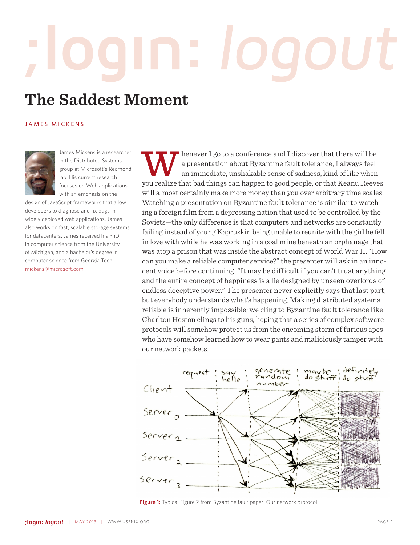# **The Saddest Moment**

### JAMES MICKENS



James Mickens is a researcher in the Distributed Systems group at Microsoft's Redmond lab. His current research focuses on Web applications, with an emphasis on the

design of JavaScript frameworks that allow developers to diagnose and fix bugs in widely deployed web applications. James also works on fast, scalable storage systems for datacenters. James received his PhD in computer science from the University of Michigan, and a bachelor's degree in computer science from Georgia Tech. mickens@microsoft.com

henever I go to a conference and I discover that there will be a presentation about Byzantine fault tolerance, I always feel an immediate, unshakable sense of sadness, kind of like when you realize that bad things can happen to good people, or that Keanu Reeves will almost certainly make more money than you over arbitrary time scales. Watching a presentation on Byzantine fault tolerance is similar to watching a foreign film from a depressing nation that used to be controlled by the Soviets—the only difference is that computers and networks are constantly failing instead of young Kapruskin being unable to reunite with the girl he fell in love with while he was working in a coal mine beneath an orphanage that was atop a prison that was inside the abstract concept of World War II. "How can you make a reliable computer service?" the presenter will ask in an innocent voice before continuing, "It may be difficult if you can't trust anything and the entire concept of happiness is a lie designed by unseen overlords of endless deceptive power." The presenter never explicitly says that last part, but everybody understands what's happening. Making distributed systems reliable is inherently impossible; we cling to Byzantine fault tolerance like Charlton Heston clings to his guns, hoping that a series of complex software protocols will somehow protect us from the oncoming storm of furious apes who have somehow learned how to wear pants and maliciously tamper with our network packets.



**Figure 1:** Typical Figure 2 from Byzantine fault paper: Our network protocol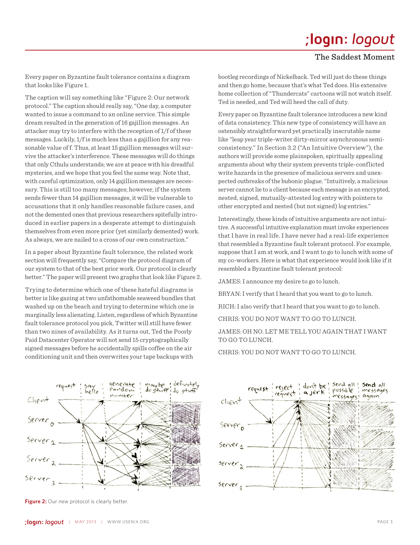## ;login: logout

### The Saddest Moment

Every paper on Byzantine fault tolerance contains a diagram that looks like Figure 1.

The caption will say something like "Figure 2: Our network protocol." The caption should really say, "One day, a computer wanted to issue a command to an online service. This simple dream resulted in the generation of 16 gajillion messages. An attacker may try to interfere with the reception of 1/f of these messages. Luckily, 1/f is much less than a gajillion for any reasonable value of f. Thus, at least 15 gajillion messages will survive the attacker's interference. These messages will do things that only Cthulu understands; we are at peace with his dreadful mysteries, and we hope that you feel the same way. Note that, with careful optimization, only 14 gajillion messages are necessary. This is still too many messages; however, if the system sends fewer than 14 gajillion messages, it will be vulnerable to accusations that it only handles reasonable failure cases, and not the demented ones that previous researchers spitefully introduced in earlier papers in a desperate attempt to distinguish themselves from even more prior (yet similarly demented) work. As always, we are nailed to a cross of our own construction."

In a paper about Byzantine fault tolerance, the related work section will frequently say, "Compare the protocol diagram of our system to that of the best prior work. Our protocol is clearly better." The paper will present two graphs that look like Figure 2.

Trying to determine which one of these hateful diagrams is better is like gazing at two unfathomable seaweed bundles that washed up on the beach and trying to determine which one is marginally less alienating. Listen, regardless of which Byzantine fault tolerance protocol you pick, Twitter will still have fewer than two nines of availability. As it turns out, Ted the Poorly Paid Datacenter Operator will not send 15 cryptographically signed messages before he accidentally spills coffee on the air conditioning unit and then overwrites your tape backups with

bootleg recordings of Nickelback. Ted will just do these things and then go home, because that's what Ted does. His extensive home collection of "Thundercats" cartoons will not watch itself. Ted is needed, and Ted will heed the call of duty.

Every paper on Byzantine fault tolerance introduces a new kind of data consistency. This new type of consistency will have an ostensibly straightforward yet practically inscrutable name like "leap year triple-writer dirty-mirror asynchronous semiconsistency." In Section 3.2 ("An Intuitive Overview"), the authors will provide some plainspoken, spiritually appealing arguments about why their system prevents triple-conflicted write hazards in the presence of malicious servers and unexpected outbreaks of the bubonic plague. "Intuitively, a malicious server cannot lie to a client because each message is an encrypted, nested, signed, mutually-attested log entry with pointers to other encrypted and nested (but not signed) log entries."

Interestingly, these kinds of intuitive arguments are not intuitive. A successful intuitive explanation must invoke experiences that I have in real life. I have never had a real-life experience that resembled a Byzantine fault tolerant protocol. For example, suppose that I am at work, and I want to go to lunch with some of my co-workers. Here is what that experience would look like if it resembled a Byzantine fault tolerant protocol:

JAMES: I announce my desire to go to lunch.

BRYAN: I verify that I heard that you want to go to lunch.

RICH: I also verify that I heard that you want to go to lunch.

CHRIS: YOU DO NOT WANT TO GO TO LUNCH.

### JAMES: OH NO. LET ME TELL YOU AGAIN THAT I WANT TO GO TO LUNCH.

CHRIS: YOU DO NOT WANT TO GO TO LUNCH.



**Figure 2:** Our new protocol is clearly better.